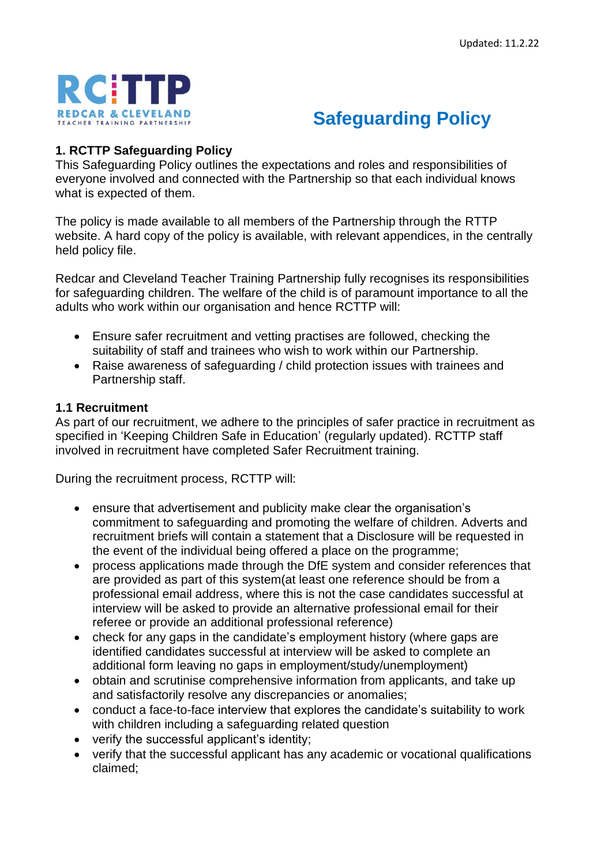



# **1. RCTTP Safeguarding Policy**

This Safeguarding Policy outlines the expectations and roles and responsibilities of everyone involved and connected with the Partnership so that each individual knows what is expected of them.

The policy is made available to all members of the Partnership through the RTTP website. A hard copy of the policy is available, with relevant appendices, in the centrally held policy file.

Redcar and Cleveland Teacher Training Partnership fully recognises its responsibilities for safeguarding children. The welfare of the child is of paramount importance to all the adults who work within our organisation and hence RCTTP will:

- Ensure safer recruitment and vetting practises are followed, checking the suitability of staff and trainees who wish to work within our Partnership.
- Raise awareness of safeguarding / child protection issues with trainees and Partnership staff.

# **1.1 Recruitment**

As part of our recruitment, we adhere to the principles of safer practice in recruitment as specified in 'Keeping Children Safe in Education' (regularly updated). RCTTP staff involved in recruitment have completed Safer Recruitment training.

During the recruitment process, RCTTP will:

- ensure that advertisement and publicity make clear the organisation's commitment to safeguarding and promoting the welfare of children. Adverts and recruitment briefs will contain a statement that a Disclosure will be requested in the event of the individual being offered a place on the programme;
- process applications made through the DfE system and consider references that are provided as part of this system(at least one reference should be from a professional email address, where this is not the case candidates successful at interview will be asked to provide an alternative professional email for their referee or provide an additional professional reference)
- check for any gaps in the candidate's employment history (where gaps are identified candidates successful at interview will be asked to complete an additional form leaving no gaps in employment/study/unemployment)
- obtain and scrutinise comprehensive information from applicants, and take up and satisfactorily resolve any discrepancies or anomalies;
- conduct a face-to-face interview that explores the candidate's suitability to work with children including a safeguarding related question
- verify the successful applicant's identity;
- verify that the successful applicant has any academic or vocational qualifications claimed;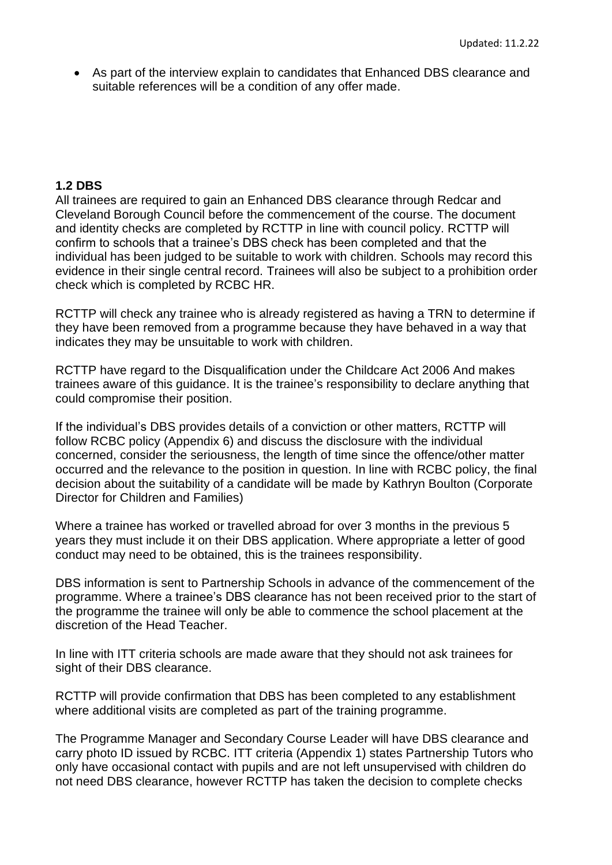• As part of the interview explain to candidates that Enhanced DBS clearance and suitable references will be a condition of any offer made.

# **1.2 DBS**

All trainees are required to gain an Enhanced DBS clearance through Redcar and Cleveland Borough Council before the commencement of the course. The document and identity checks are completed by RCTTP in line with council policy. RCTTP will confirm to schools that a trainee's DBS check has been completed and that the individual has been judged to be suitable to work with children. Schools may record this evidence in their single central record. Trainees will also be subject to a prohibition order check which is completed by RCBC HR.

RCTTP will check any trainee who is already registered as having a TRN to determine if they have been removed from a programme because they have behaved in a way that indicates they may be unsuitable to work with children.

RCTTP have regard to the Disqualification under the Childcare Act 2006 And makes trainees aware of this guidance. It is the trainee's responsibility to declare anything that could compromise their position.

If the individual's DBS provides details of a conviction or other matters, RCTTP will follow RCBC policy (Appendix 6) and discuss the disclosure with the individual concerned, consider the seriousness, the length of time since the offence/other matter occurred and the relevance to the position in question. In line with RCBC policy, the final decision about the suitability of a candidate will be made by Kathryn Boulton (Corporate Director for Children and Families)

Where a trainee has worked or travelled abroad for over 3 months in the previous 5 years they must include it on their DBS application. Where appropriate a letter of good conduct may need to be obtained, this is the trainees responsibility.

DBS information is sent to Partnership Schools in advance of the commencement of the programme. Where a trainee's DBS clearance has not been received prior to the start of the programme the trainee will only be able to commence the school placement at the discretion of the Head Teacher.

In line with ITT criteria schools are made aware that they should not ask trainees for sight of their DBS clearance.

RCTTP will provide confirmation that DBS has been completed to any establishment where additional visits are completed as part of the training programme.

The Programme Manager and Secondary Course Leader will have DBS clearance and carry photo ID issued by RCBC. ITT criteria (Appendix 1) states Partnership Tutors who only have occasional contact with pupils and are not left unsupervised with children do not need DBS clearance, however RCTTP has taken the decision to complete checks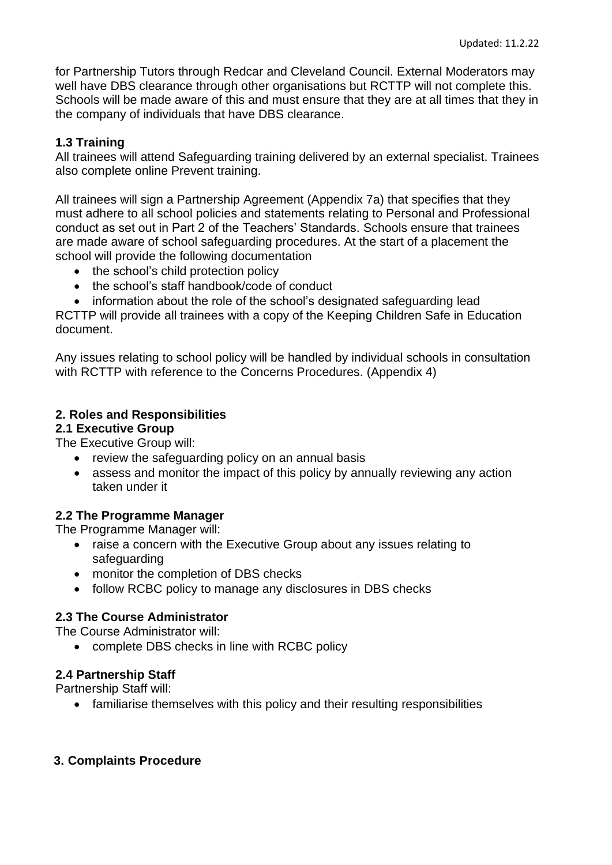for Partnership Tutors through Redcar and Cleveland Council. External Moderators may well have DBS clearance through other organisations but RCTTP will not complete this. Schools will be made aware of this and must ensure that they are at all times that they in the company of individuals that have DBS clearance.

# **1.3 Training**

All trainees will attend Safeguarding training delivered by an external specialist. Trainees also complete online Prevent training.

All trainees will sign a Partnership Agreement (Appendix 7a) that specifies that they must adhere to all school policies and statements relating to Personal and Professional conduct as set out in Part 2 of the Teachers' Standards. Schools ensure that trainees are made aware of school safeguarding procedures. At the start of a placement the school will provide the following documentation

- the school's child protection policy
- the school's staff handbook/code of conduct
- information about the role of the school's designated safeguarding lead

RCTTP will provide all trainees with a copy of the Keeping Children Safe in Education document.

Any issues relating to school policy will be handled by individual schools in consultation with RCTTP with reference to the Concerns Procedures. (Appendix 4)

# **2. Roles and Responsibilities**

#### **2.1 Executive Group**

The Executive Group will:

- review the safeguarding policy on an annual basis
- assess and monitor the impact of this policy by annually reviewing any action taken under it

# **2.2 The Programme Manager**

The Programme Manager will:

- raise a concern with the Executive Group about any issues relating to safeguarding
- monitor the completion of DBS checks
- follow RCBC policy to manage any disclosures in DBS checks

# **2.3 The Course Administrator**

The Course Administrator will:

• complete DBS checks in line with RCBC policy

# **2.4 Partnership Staff**

Partnership Staff will:

• familiarise themselves with this policy and their resulting responsibilities

# **3. Complaints Procedure**